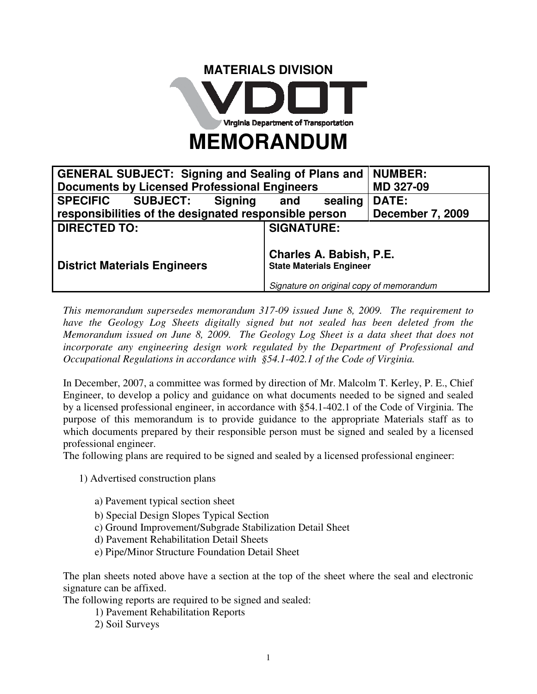

| <b>GENERAL SUBJECT: Signing and Sealing of Plans and</b> |                                                                                                        | <b>NUMBER:</b>          |
|----------------------------------------------------------|--------------------------------------------------------------------------------------------------------|-------------------------|
| <b>Documents by Licensed Professional Engineers</b>      |                                                                                                        | MD 327-09               |
| SPECIFIC SUBJECT: Signing                                | sealing<br>and                                                                                         | <b>DATE:</b>            |
| responsibilities of the designated responsible person    |                                                                                                        | <b>December 7, 2009</b> |
| <b>DIRECTED TO:</b>                                      | <b>SIGNATURE:</b>                                                                                      |                         |
| <b>District Materials Engineers</b>                      | Charles A. Babish, P.E.<br><b>State Materials Engineer</b><br>Signature on original copy of memorandum |                         |

*This memorandum supersedes memorandum 317-09 issued June 8, 2009. The requirement to*  have the Geology Log Sheets digitally signed but not sealed has been deleted from the *Memorandum issued on June 8, 2009. The Geology Log Sheet is a data sheet that does not incorporate any engineering design work regulated by the Department of Professional and Occupational Regulations in accordance with §54.1-402.1 of the Code of Virginia.* 

In December, 2007, a committee was formed by direction of Mr. Malcolm T. Kerley, P. E., Chief Engineer, to develop a policy and guidance on what documents needed to be signed and sealed by a licensed professional engineer, in accordance with §54.1-402.1 of the Code of Virginia. The purpose of this memorandum is to provide guidance to the appropriate Materials staff as to which documents prepared by their responsible person must be signed and sealed by a licensed professional engineer.

The following plans are required to be signed and sealed by a licensed professional engineer:

- 1) Advertised construction plans
	- a) Pavement typical section sheet
	- b) Special Design Slopes Typical Section
	- c) Ground Improvement/Subgrade Stabilization Detail Sheet
	- d) Pavement Rehabilitation Detail Sheets
	- e) Pipe/Minor Structure Foundation Detail Sheet

The plan sheets noted above have a section at the top of the sheet where the seal and electronic signature can be affixed.

The following reports are required to be signed and sealed:

- 1) Pavement Rehabilitation Reports
- 2) Soil Surveys